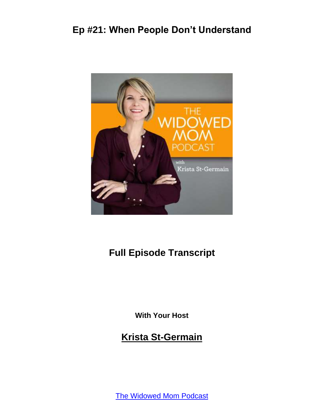

#### **Full Episode Transcript**

**With Your Host**

**Krista St-Germain**

[The Widowed Mom Podcast](https://coachingwithkrista.com/podcast)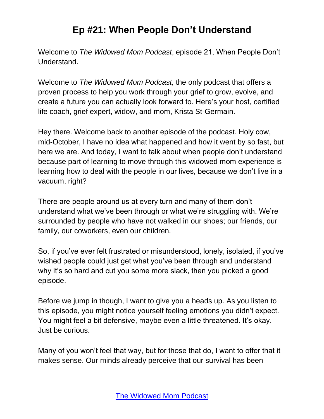Welcome to *The Widowed Mom Podcast*, episode 21, When People Don't Understand.

Welcome to *The Widowed Mom Podcast,* the only podcast that offers a proven process to help you work through your grief to grow, evolve, and create a future you can actually look forward to. Here's your host, certified life coach, grief expert, widow, and mom, Krista St-Germain.

Hey there. Welcome back to another episode of the podcast. Holy cow, mid-October, I have no idea what happened and how it went by so fast, but here we are. And today, I want to talk about when people don't understand because part of learning to move through this widowed mom experience is learning how to deal with the people in our lives, because we don't live in a vacuum, right?

There are people around us at every turn and many of them don't understand what we've been through or what we're struggling with. We're surrounded by people who have not walked in our shoes; our friends, our family, our coworkers, even our children.

So, if you've ever felt frustrated or misunderstood, lonely, isolated, if you've wished people could just get what you've been through and understand why it's so hard and cut you some more slack, then you picked a good episode.

Before we jump in though, I want to give you a heads up. As you listen to this episode, you might notice yourself feeling emotions you didn't expect. You might feel a bit defensive, maybe even a little threatened. It's okay. Just be curious.

Many of you won't feel that way, but for those that do, I want to offer that it makes sense. Our minds already perceive that our survival has been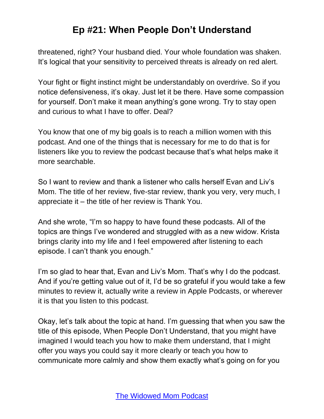threatened, right? Your husband died. Your whole foundation was shaken. It's logical that your sensitivity to perceived threats is already on red alert.

Your fight or flight instinct might be understandably on overdrive. So if you notice defensiveness, it's okay. Just let it be there. Have some compassion for yourself. Don't make it mean anything's gone wrong. Try to stay open and curious to what I have to offer. Deal?

You know that one of my big goals is to reach a million women with this podcast. And one of the things that is necessary for me to do that is for listeners like you to review the podcast because that's what helps make it more searchable.

So I want to review and thank a listener who calls herself Evan and Liv's Mom. The title of her review, five-star review, thank you very, very much, I appreciate it – the title of her review is Thank You.

And she wrote, "I'm so happy to have found these podcasts. All of the topics are things I've wondered and struggled with as a new widow. Krista brings clarity into my life and I feel empowered after listening to each episode. I can't thank you enough."

I'm so glad to hear that, Evan and Liv's Mom. That's why I do the podcast. And if you're getting value out of it, I'd be so grateful if you would take a few minutes to review it, actually write a review in Apple Podcasts, or wherever it is that you listen to this podcast.

Okay, let's talk about the topic at hand. I'm guessing that when you saw the title of this episode, When People Don't Understand, that you might have imagined I would teach you how to make them understand, that I might offer you ways you could say it more clearly or teach you how to communicate more calmly and show them exactly what's going on for you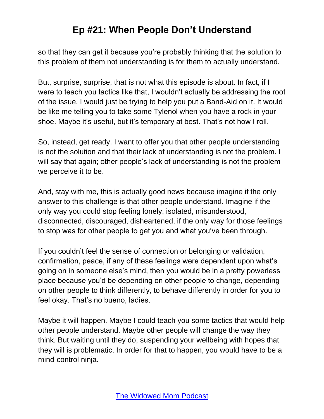so that they can get it because you're probably thinking that the solution to this problem of them not understanding is for them to actually understand.

But, surprise, surprise, that is not what this episode is about. In fact, if I were to teach you tactics like that, I wouldn't actually be addressing the root of the issue. I would just be trying to help you put a Band-Aid on it. It would be like me telling you to take some Tylenol when you have a rock in your shoe. Maybe it's useful, but it's temporary at best. That's not how I roll.

So, instead, get ready. I want to offer you that other people understanding is not the solution and that their lack of understanding is not the problem. I will say that again; other people's lack of understanding is not the problem we perceive it to be.

And, stay with me, this is actually good news because imagine if the only answer to this challenge is that other people understand. Imagine if the only way you could stop feeling lonely, isolated, misunderstood, disconnected, discouraged, disheartened, if the only way for those feelings to stop was for other people to get you and what you've been through.

If you couldn't feel the sense of connection or belonging or validation, confirmation, peace, if any of these feelings were dependent upon what's going on in someone else's mind, then you would be in a pretty powerless place because you'd be depending on other people to change, depending on other people to think differently, to behave differently in order for you to feel okay. That's no bueno, ladies.

Maybe it will happen. Maybe I could teach you some tactics that would help other people understand. Maybe other people will change the way they think. But waiting until they do, suspending your wellbeing with hopes that they will is problematic. In order for that to happen, you would have to be a mind-control ninja.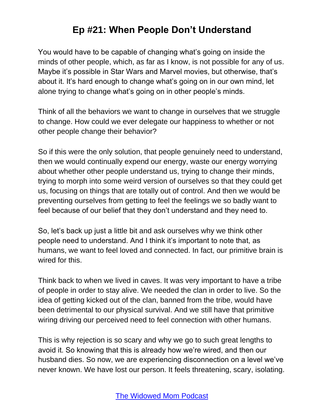You would have to be capable of changing what's going on inside the minds of other people, which, as far as I know, is not possible for any of us. Maybe it's possible in Star Wars and Marvel movies, but otherwise, that's about it. It's hard enough to change what's going on in our own mind, let alone trying to change what's going on in other people's minds.

Think of all the behaviors we want to change in ourselves that we struggle to change. How could we ever delegate our happiness to whether or not other people change their behavior?

So if this were the only solution, that people genuinely need to understand, then we would continually expend our energy, waste our energy worrying about whether other people understand us, trying to change their minds, trying to morph into some weird version of ourselves so that they could get us, focusing on things that are totally out of control. And then we would be preventing ourselves from getting to feel the feelings we so badly want to feel because of our belief that they don't understand and they need to.

So, let's back up just a little bit and ask ourselves why we think other people need to understand. And I think it's important to note that, as humans, we want to feel loved and connected. In fact, our primitive brain is wired for this.

Think back to when we lived in caves. It was very important to have a tribe of people in order to stay alive. We needed the clan in order to live. So the idea of getting kicked out of the clan, banned from the tribe, would have been detrimental to our physical survival. And we still have that primitive wiring driving our perceived need to feel connection with other humans.

This is why rejection is so scary and why we go to such great lengths to avoid it. So knowing that this is already how we're wired, and then our husband dies. So now, we are experiencing disconnection on a level we've never known. We have lost our person. It feels threatening, scary, isolating.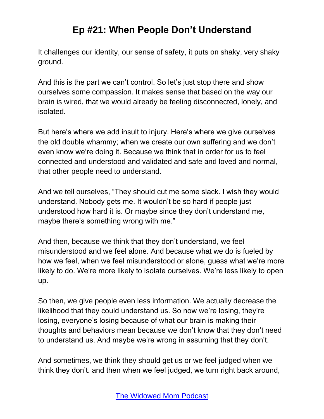It challenges our identity, our sense of safety, it puts on shaky, very shaky ground.

And this is the part we can't control. So let's just stop there and show ourselves some compassion. It makes sense that based on the way our brain is wired, that we would already be feeling disconnected, lonely, and isolated.

But here's where we add insult to injury. Here's where we give ourselves the old double whammy; when we create our own suffering and we don't even know we're doing it. Because we think that in order for us to feel connected and understood and validated and safe and loved and normal, that other people need to understand.

And we tell ourselves, "They should cut me some slack. I wish they would understand. Nobody gets me. It wouldn't be so hard if people just understood how hard it is. Or maybe since they don't understand me, maybe there's something wrong with me."

And then, because we think that they don't understand, we feel misunderstood and we feel alone. And because what we do is fueled by how we feel, when we feel misunderstood or alone, guess what we're more likely to do. We're more likely to isolate ourselves. We're less likely to open up.

So then, we give people even less information. We actually decrease the likelihood that they could understand us. So now we're losing, they're losing, everyone's losing because of what our brain is making their thoughts and behaviors mean because we don't know that they don't need to understand us. And maybe we're wrong in assuming that they don't.

And sometimes, we think they should get us or we feel judged when we think they don't. and then when we feel judged, we turn right back around,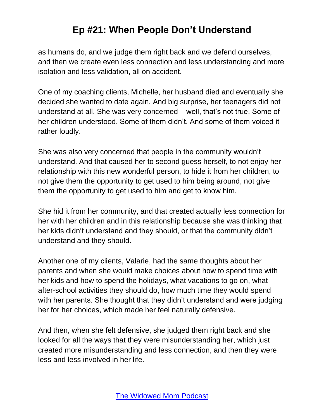as humans do, and we judge them right back and we defend ourselves, and then we create even less connection and less understanding and more isolation and less validation, all on accident.

One of my coaching clients, Michelle, her husband died and eventually she decided she wanted to date again. And big surprise, her teenagers did not understand at all. She was very concerned – well, that's not true. Some of her children understood. Some of them didn't. And some of them voiced it rather loudly.

She was also very concerned that people in the community wouldn't understand. And that caused her to second guess herself, to not enjoy her relationship with this new wonderful person, to hide it from her children, to not give them the opportunity to get used to him being around, not give them the opportunity to get used to him and get to know him.

She hid it from her community, and that created actually less connection for her with her children and in this relationship because she was thinking that her kids didn't understand and they should, or that the community didn't understand and they should.

Another one of my clients, Valarie, had the same thoughts about her parents and when she would make choices about how to spend time with her kids and how to spend the holidays, what vacations to go on, what after-school activities they should do, how much time they would spend with her parents. She thought that they didn't understand and were judging her for her choices, which made her feel naturally defensive.

And then, when she felt defensive, she judged them right back and she looked for all the ways that they were misunderstanding her, which just created more misunderstanding and less connection, and then they were less and less involved in her life.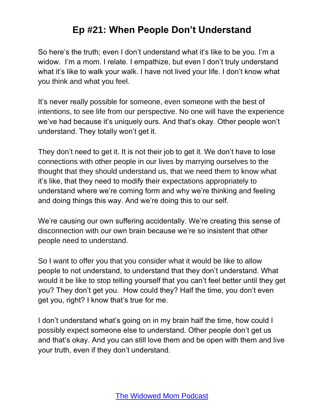So here's the truth; even I don't understand what it's like to be you. I'm a widow. I'm a mom. I relate. I empathize, but even I don't truly understand what it's like to walk your walk. I have not lived your life. I don't know what you think and what you feel.

It's never really possible for someone, even someone with the best of intentions, to see life from our perspective. No one will have the experience we've had because it's uniquely ours. And that's okay. Other people won't understand. They totally won't get it.

They don't need to get it. It is not their job to get it. We don't have to lose connections with other people in our lives by marrying ourselves to the thought that they should understand us, that we need them to know what it's like, that they need to modify their expectations appropriately to understand where we're coming form and why we're thinking and feeling and doing things this way. And we're doing this to our self.

We're causing our own suffering accidentally. We're creating this sense of disconnection with our own brain because we're so insistent that other people need to understand.

So I want to offer you that you consider what it would be like to allow people to not understand, to understand that they don't understand. What would it be like to stop telling yourself that you can't feel better until they get you? They don't get you. How could they? Half the time, you don't even get you, right? I know that's true for me.

I don't understand what's going on in my brain half the time, how could I possibly expect someone else to understand. Other people don't get us and that's okay. And you can still love them and be open with them and live your truth, even if they don't understand.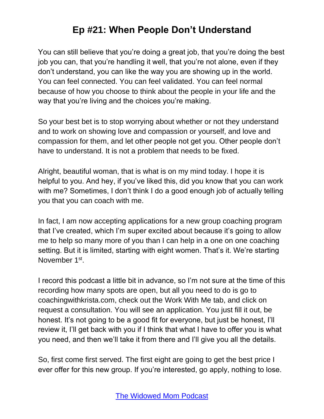You can still believe that you're doing a great job, that you're doing the best job you can, that you're handling it well, that you're not alone, even if they don't understand, you can like the way you are showing up in the world. You can feel connected. You can feel validated. You can feel normal because of how you choose to think about the people in your life and the way that you're living and the choices you're making.

So your best bet is to stop worrying about whether or not they understand and to work on showing love and compassion or yourself, and love and compassion for them, and let other people not get you. Other people don't have to understand. It is not a problem that needs to be fixed.

Alright, beautiful woman, that is what is on my mind today. I hope it is helpful to you. And hey, if you've liked this, did you know that you can work with me? Sometimes, I don't think I do a good enough job of actually telling you that you can coach with me.

In fact, I am now accepting applications for a new group coaching program that I've created, which I'm super excited about because it's going to allow me to help so many more of you than I can help in a one on one coaching setting. But it is limited, starting with eight women. That's it. We're starting November 1<sup>st</sup>.

I record this podcast a little bit in advance, so I'm not sure at the time of this recording how many spots are open, but all you need to do is go to coachingwithkrista.com, check out the Work With Me tab, and click on request a consultation. You will see an application. You just fill it out, be honest. It's not going to be a good fit for everyone, but just be honest, I'll review it, I'll get back with you if I think that what I have to offer you is what you need, and then we'll take it from there and I'll give you all the details.

So, first come first served. The first eight are going to get the best price I ever offer for this new group. If you're interested, go apply, nothing to lose.